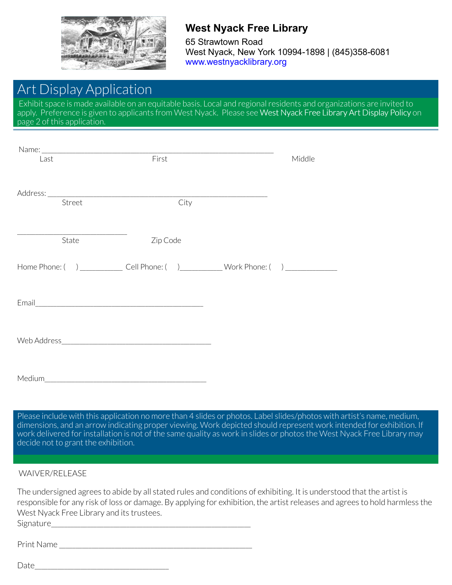

### **West Nyack Free Library**

65 Strawtown Road West Nyack, New York 10994-1898 | (845)358-6081 [www.westnyacklibrary.org](http://4la.co/1M41ES)

## Art Display Application

Exhibit space is made available on an equitable basis. Local and regional residents and organizations are invited to apply. Preference is given to applicants from West Nyack. Please see West Nyack Free Library Art Display Policy on page 2 of this application.

| Last   | First                                                                                               | Middle |
|--------|-----------------------------------------------------------------------------------------------------|--------|
|        |                                                                                                     |        |
|        |                                                                                                     |        |
| Street | City                                                                                                |        |
|        |                                                                                                     |        |
| State  | Zip Code                                                                                            |        |
|        | Home Phone: () _________________ Cell Phone: () _______________ Work Phone: () ____________________ |        |
|        |                                                                                                     |        |
|        |                                                                                                     |        |
| Medium |                                                                                                     |        |

Please include with this application no more than 4 slides or photos. Label slides/photos with artist's name, medium, dimensions, and an arrow indicating proper viewing. Work depicted should represent work intended for exhibition. If work delivered for installation is not of the same quality as work in slides or photos the West Nyack Free Library may decide not to grant the exhibition.

#### WAIVER/RELEASE

The undersigned agrees to abide by all stated rules and conditions of exhibiting. It is understood that the artist is responsible for any risk of loss or damage. By applying for exhibition, the artist releases and agrees to hold harmless the West Nyack Free Library and its trustees.

Signature

Print Name \_\_\_\_\_\_\_\_\_\_\_\_\_\_\_\_\_\_\_\_\_\_\_\_\_\_\_\_\_\_\_\_\_\_\_\_\_\_\_\_\_\_\_\_\_\_\_\_\_\_\_\_\_\_\_\_\_\_\_

Date